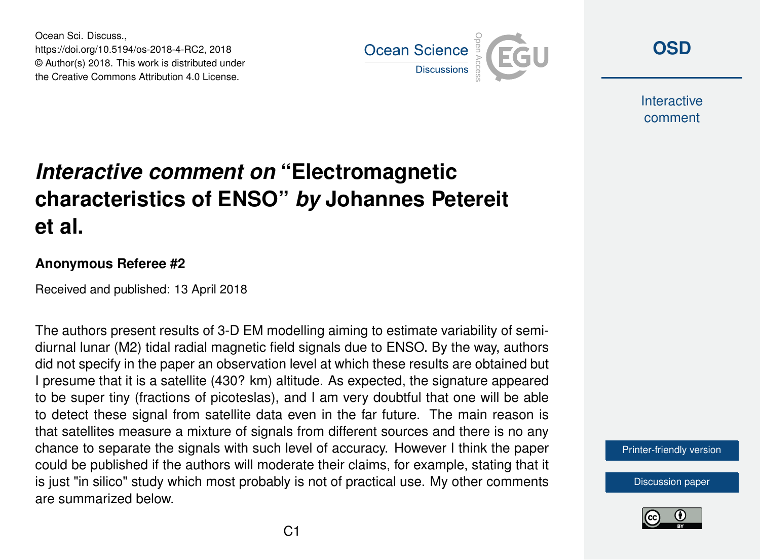Ocean Sci. Discuss., https://doi.org/10.5194/os-2018-4-RC2, 2018 © Author(s) 2018. This work is distributed under the Creative Commons Attribution 4.0 License.



**[OSD](https://www.ocean-sci-discuss.net/)**

**Interactive** comment

## *Interactive comment on* **"Electromagnetic characteristics of ENSO"** *by* **Johannes Petereit et al.**

## **Anonymous Referee #2**

Received and published: 13 April 2018

The authors present results of 3-D EM modelling aiming to estimate variability of semidiurnal lunar (M2) tidal radial magnetic field signals due to ENSO. By the way, authors did not specify in the paper an observation level at which these results are obtained but I presume that it is a satellite (430? km) altitude. As expected, the signature appeared to be super tiny (fractions of picoteslas), and I am very doubtful that one will be able to detect these signal from satellite data even in the far future. The main reason is that satellites measure a mixture of signals from different sources and there is no any chance to separate the signals with such level of accuracy. However I think the paper could be published if the authors will moderate their claims, for example, stating that it is just "in silico" study which most probably is not of practical use. My other comments are summarized below.

[Printer-friendly version](https://www.ocean-sci-discuss.net/os-2018-4/os-2018-4-RC2-print.pdf)

[Discussion paper](https://www.ocean-sci-discuss.net/os-2018-4)